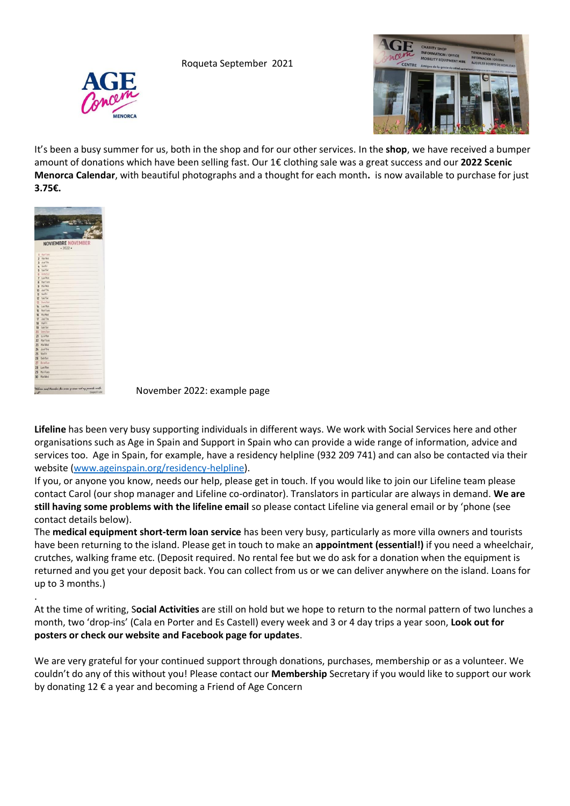Roqueta September 2021





It's been a busy summer for us, both in the shop and for our other services. In the **shop**, we have received a bumper amount of donations which have been selling fast. Our 1€ clothing sale was a great success and our **2022 Scenic Menorca Calendar**, with beautiful photographs and a thought for each month**.** is now available to purchase for just **3.75€.**



.

November 2022: example page

**Lifeline** has been very busy supporting individuals in different ways. We work with Social Services here and other organisations such as Age in Spain and Support in Spain who can provide a wide range of information, advice and services too. Age in Spain, for example, have a residency helpline (932 209 741) and can also be contacted via their website [\(www.ageinspain.org/residency-helpline\)](http://www.ageinspain.org/residency-helpline).

If you, or anyone you know, needs our help, please get in touch. If you would like to join our Lifeline team please contact Carol (our shop manager and Lifeline co-ordinator). Translators in particular are always in demand. **We are still having some problems with the lifeline email** so please contact Lifeline via general email or by 'phone (see contact details below).

The **medical equipment short-term loan service** has been very busy, particularly as more villa owners and tourists have been returning to the island. Please get in touch to make an **appointment (essential!)** if you need a wheelchair, crutches, walking frame etc. (Deposit required. No rental fee but we do ask for a donation when the equipment is returned and you get your deposit back. You can collect from us or we can deliver anywhere on the island. Loans for up to 3 months.)

At the time of writing, S**ocial Activities** are still on hold but we hope to return to the normal pattern of two lunches a month, two 'drop-ins' (Cala en Porter and Es Castell) every week and 3 or 4 day trips a year soon, **Look out for posters or check our website and Facebook page for updates**.

We are very grateful for your continued support through donations, purchases, membership or as a volunteer. We couldn't do any of this without you! Please contact our **Membership** Secretary if you would like to support our work by donating 12 € a year and becoming a Friend of Age Concern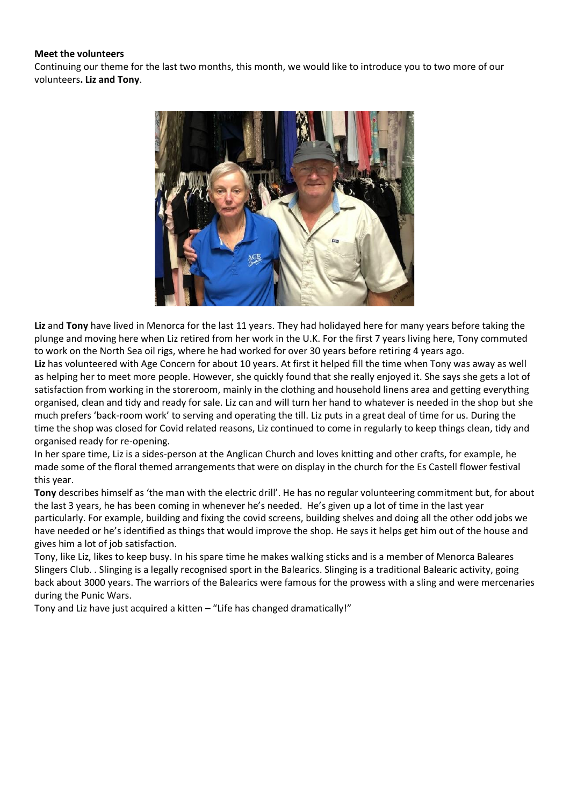## **Meet the volunteers**

Continuing our theme for the last two months, this month, we would like to introduce you to two more of our volunteers**. Liz and Tony**.



**Liz** and **Tony** have lived in Menorca for the last 11 years. They had holidayed here for many years before taking the plunge and moving here when Liz retired from her work in the U.K. For the first 7 years living here, Tony commuted to work on the North Sea oil rigs, where he had worked for over 30 years before retiring 4 years ago.

**Liz** has volunteered with Age Concern for about 10 years. At first it helped fill the time when Tony was away as well as helping her to meet more people. However, she quickly found that she really enjoyed it. She says she gets a lot of satisfaction from working in the storeroom, mainly in the clothing and household linens area and getting everything organised, clean and tidy and ready for sale. Liz can and will turn her hand to whatever is needed in the shop but she much prefers 'back-room work' to serving and operating the till. Liz puts in a great deal of time for us. During the time the shop was closed for Covid related reasons, Liz continued to come in regularly to keep things clean, tidy and organised ready for re-opening.

In her spare time, Liz is a sides-person at the Anglican Church and loves knitting and other crafts, for example, he made some of the floral themed arrangements that were on display in the church for the Es Castell flower festival this year.

**Tony** describes himself as 'the man with the electric drill'. He has no regular volunteering commitment but, for about the last 3 years, he has been coming in whenever he's needed. He's given up a lot of time in the last year particularly. For example, building and fixing the covid screens, building shelves and doing all the other odd jobs we have needed or he's identified as things that would improve the shop. He says it helps get him out of the house and gives him a lot of job satisfaction.

Tony, like Liz, likes to keep busy. In his spare time he makes walking sticks and is a member of Menorca Baleares Slingers Club. . Slinging is a legally recognised sport in the Balearics. Slinging is a traditional Balearic activity, going back about 3000 years. The warriors of the Balearics were famous for the prowess with a sling and were mercenaries during the Punic Wars.

Tony and Liz have just acquired a kitten – "Life has changed dramatically!"